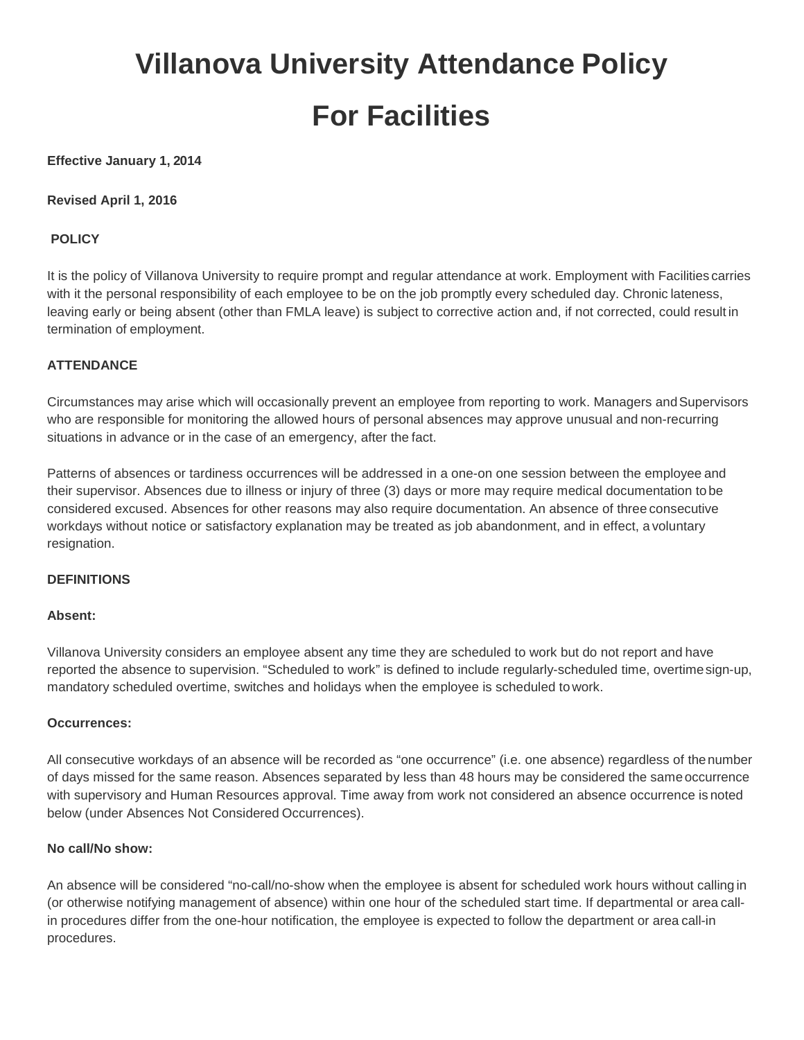# **Villanova University Attendance Policy For Facilities**

## **Effective January 1, 2014**

**Revised April 1, 2016**

## **POLICY**

It is the policy of Villanova University to require prompt and regular attendance at work. Employment with Facilities carries with it the personal responsibility of each employee to be on the job promptly every scheduled day. Chronic lateness, leaving early or being absent (other than FMLA leave) is subject to corrective action and, if not corrected, could result in termination of employment.

#### **ATTENDANCE**

Circumstances may arise which will occasionally prevent an employee from reporting to work. Managers andSupervisors who are responsible for monitoring the allowed hours of personal absences may approve unusual and non-recurring situations in advance or in the case of an emergency, after the fact.

Patterns of absences or tardiness occurrences will be addressed in a one-on one session between the employee and their supervisor. Absences due to illness or injury of three (3) days or more may require medical documentation to be considered excused. Absences for other reasons may also require documentation. An absence of three consecutive workdays without notice or satisfactory explanation may be treated as job abandonment, and in effect, a voluntary resignation.

#### **DEFINITIONS**

#### **Absent:**

Villanova University considers an employee absent any time they are scheduled to work but do not report and have reported the absence to supervision. "Scheduled to work" is defined to include regularly-scheduled time, overtimesign-up, mandatory scheduled overtime, switches and holidays when the employee is scheduled to work.

#### **Occurrences:**

All consecutive workdays of an absence will be recorded as "one occurrence" (i.e. one absence) regardless of thenumber of days missed for the same reason. Absences separated by less than 48 hours may be considered the same occurrence with supervisory and Human Resources approval. Time away from work not considered an absence occurrence is noted below (under Absences Not Considered Occurrences).

#### **No call/No show:**

An absence will be considered "no-call/no-show when the employee is absent for scheduled work hours without calling in (or otherwise notifying management of absence) within one hour of the scheduled start time. If departmental or area callin procedures differ from the one-hour notification, the employee is expected to follow the department or area call-in procedures.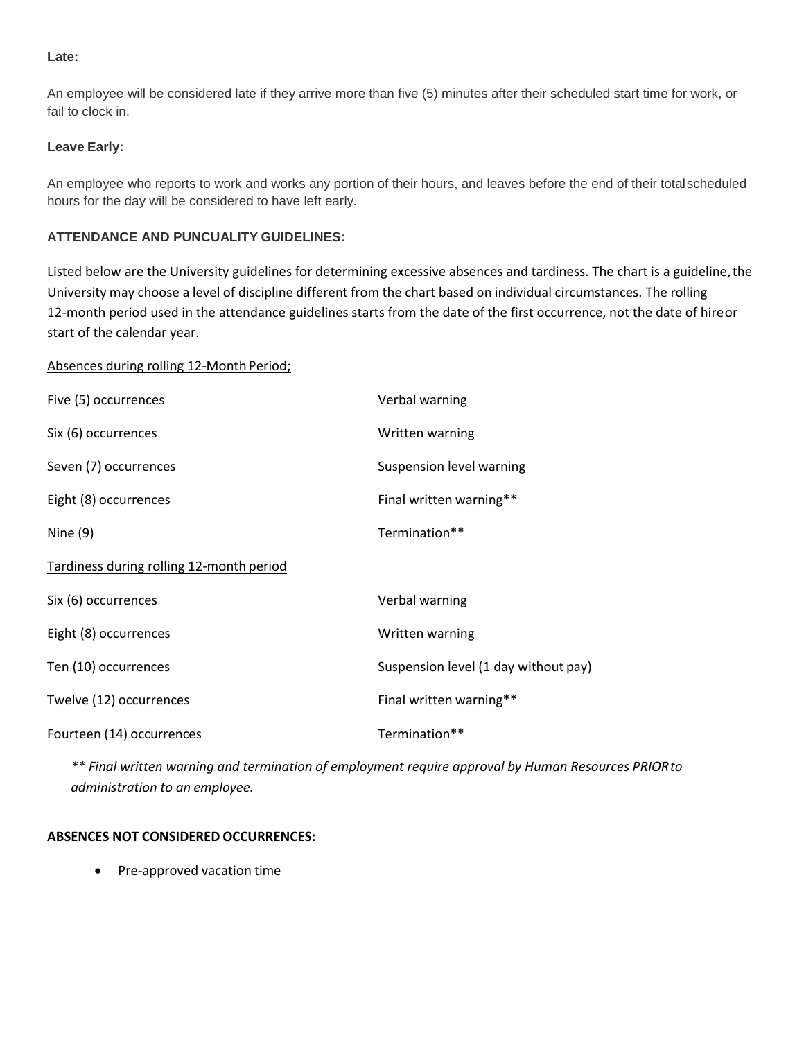#### **Late:**

An employee will be considered late if they arrive more than five (5) minutes after their scheduled start time for work, or fail to clock in.

## **Leave Early:**

An employee who reports to work and works any portion of their hours, and leaves before the end of their totalscheduled hours for the day will be considered to have left early.

# **ATTENDANCE AND PUNCUALITY GUIDELINES:**

Listed below are the University guidelines for determining excessive absences and tardiness. The chart is a guideline, the University may choose a level of discipline different from the chart based on individual circumstances. The rolling 12-month period used in the attendance guidelines starts from the date of the first occurrence, not the date of hireor start of the calendar year.

#### Absences during rolling 12-Month Period;

| Five (5) occurrences                     | Verbal warning                       |
|------------------------------------------|--------------------------------------|
| Six (6) occurrences                      | Written warning                      |
| Seven (7) occurrences                    | Suspension level warning             |
| Eight (8) occurrences                    | Final written warning**              |
| Nine $(9)$                               | Termination**                        |
| Tardiness during rolling 12-month period |                                      |
| Six (6) occurrences                      | Verbal warning                       |
| Eight (8) occurrences                    | Written warning                      |
| Ten (10) occurrences                     | Suspension level (1 day without pay) |
| Twelve (12) occurrences                  | Final written warning**              |
| Fourteen (14) occurrences                | Termination**                        |

*\*\* Final written warning and termination of employment require approval by Human Resources PRIORto administration to an employee.*

#### **ABSENCES NOT CONSIDERED OCCURRENCES:**

• Pre-approved vacation time